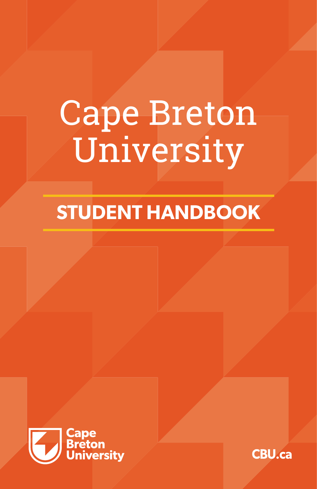# Cape Breton University

# **STUDENT HANDBOOK**



**CBU.ca**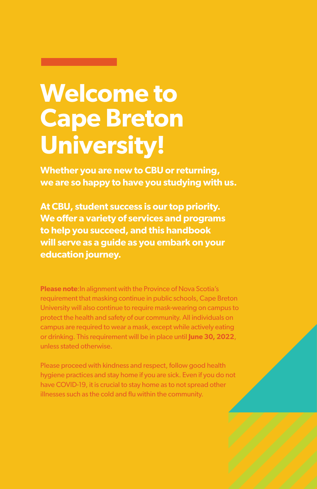# **Welcome to Cape Breton University!**

**Whether you are new to CBU or returning, we are so happy to have you studying with us.**

**At CBU, student success is our top priority. We offer a variety of services and programs to help you succeed, and this handbook will serve as a guide as you embark on your education journey.** 

**Please note**:In alignment with the Province of Nova Scotia's requirement that masking continue in public schools, Cape Breton University will also continue to require mask-wearing on campus to protect the health and safety of our community. All individuals on campus are required to wear a mask, except while actively eating or drinking. This requirement will be in place until **June 30, 2022**, unless stated otherwise.

Please proceed with kindness and respect, follow good health hygiene practices and stay home if you are sick. Even if you do not have COVID-19, it is crucial to stay home as to not spread other illnesses such as the cold and flu within the community.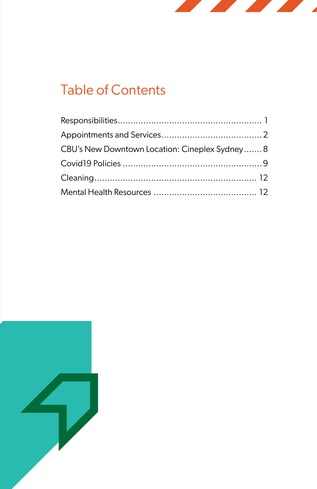

# Table of Contents

| CBU's New Downtown Location: Cineplex Sydney8 |  |
|-----------------------------------------------|--|
|                                               |  |
|                                               |  |
|                                               |  |

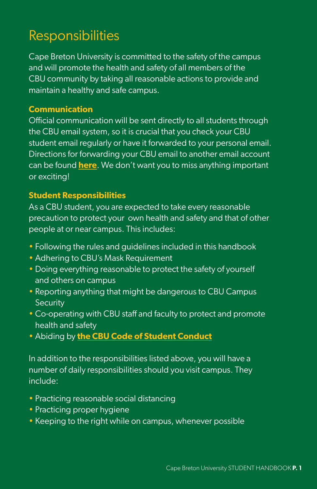# Responsibilities

Cape Breton University is committed to the safety of the campus and will promote the health and safety of all members of the CBU community by taking all reasonable actions to provide and maintain a healthy and safe campus.

#### **Communication**

Official communication will be sent directly to all students through the CBU email system, so it is crucial that you check your CBU student email regularly or have it forwarded to your personal email. Directions for forwarding your CBU email to another email account can be found **[here](http://here)**. We don't want you to miss anything important or exciting!

#### **Student Responsibilities**

As a CBU student, you are expected to take every reasonable precaution to protect your own health and safety and that of other people at or near campus. This includes:

- Following the rules and guidelines included in this handbook
- Adhering to CBU's Mask Requirement
- Doing everything reasonable to protect the safety of yourself and others on campus
- Reporting anything that might be dangerous to CBU Campus **Security**
- Co-operating with CBU staff and faculty to protect and promote health and safety
- Abiding by **[the CBU Code of Student Conduct](https://www.cbu.ca/current-students/safety-security-respect/code-of-student-conduct/)**

In addition to the responsibilities listed above, you will have a number of daily responsibilities should you visit campus. They include:

- Practicing reasonable social distancing
- Practicing proper hygiene
- Keeping to the right while on campus, whenever possible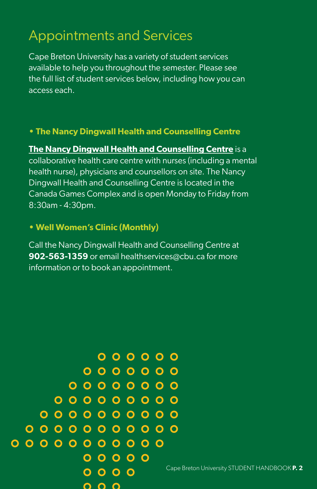# Appointments and Services

Cape Breton University has a variety of student services available to help you throughout the semester. Please see the full list of student services below, including how you can access each.

#### **• The Nancy Dingwall Health and Counselling Centre**

**The Nancy Dingwall Health and Counselling Centre** is a collaborative health care centre with nurses (including a mental health nurse), physicians and counsellors on site. The Nancy Dingwall Health and Counselling Centre is located in the Canada Games Complex and is open Monday to Friday from 8:30am - 4:30pm.

#### **• Well Women's Clinic (Monthly)**

Call the Nancy Dingwall Health and Counselling Centre at **902-563-1359** or email healthservices@cbu.ca for more information or to book an appointment.

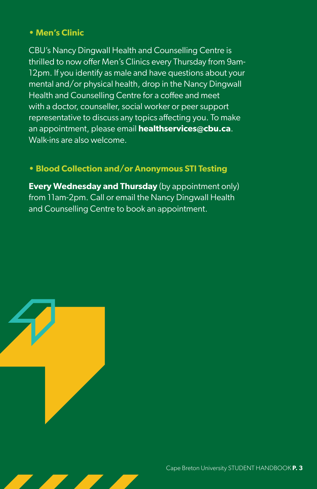#### **• Men's Clinic**

CBU's Nancy Dingwall Health and Counselling Centre is thrilled to now offer Men's Clinics every Thursday from 9am-12pm. If you identify as male and have questions about your mental and/or physical health, drop in the Nancy Dingwall Health and Counselling Centre for a coffee and meet with a doctor, counseller, social worker or peer support representative to discuss any topics affecting you. To make an appointment, please email **healthservices@cbu.ca**. Walk-ins are also welcome.

#### **• Blood Collection and/or Anonymous STI Testing**

**Every Wednesday and Thursday** (by appointment only) from 11am-2pm. Call or email the Nancy Dingwall Health and Counselling Centre to book an appointment.

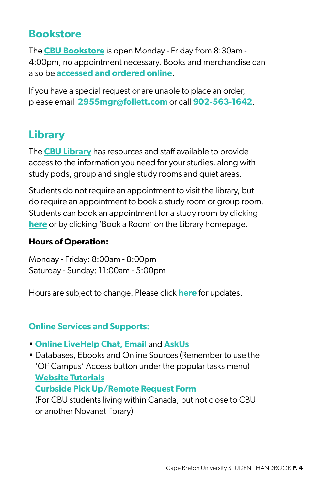### **Bookstore**

The **CBU Bookstore** is open Monday - Friday from 8:30am - 4:00pm, no appointment necessary. Books and merchandise can also be **accessed and ordered online**.

If you have a special request or are unable to place an order, please email **2955mgr@follett.com** or call **902-563-1642**.

### **Library**

The **CBU Library** has resources and staff available to provide access to the information you need for your studies, along with study pods, group and single study rooms and quiet areas.

Students do not require an appointment to visit the library, but do require an appointment to book a study room or group room. Students can book an appointment for a study room by clicking **[here](https://libguides.cbu.ca/c.php?g=719575&p=5141682)** or by clicking 'Book a Room' on the Library homepage.

#### **Hours of Operation:**

Monday - Friday: 8:00am - 8:00pm Saturday - Sunday: 11:00am - 5:00pm

Hours are subject to change. Please click **[here](https://libguides.cbu.ca/homepage)** for updates.

#### **Online Services and Supports:**

- **[Online LiveHelp Chat, Email](https://capebreton.libanswers.com/)** and **AskUs**
- Databases, Ebooks and Online Sources (Remember to use the 'Off Campus' Access button under the popular tasks menu) • **[Website Tutorials](https://libguides.cbu.ca/CBULearning/1mintutorials)**

• **[Curbside Pick Up/Remote Request Form](https://cbu-ca.libwizard.com/id/4f6b39879ed1cef32b560dd90f671002)**

(For CBU students living within Canada, but not close to CBU or another Novanet library)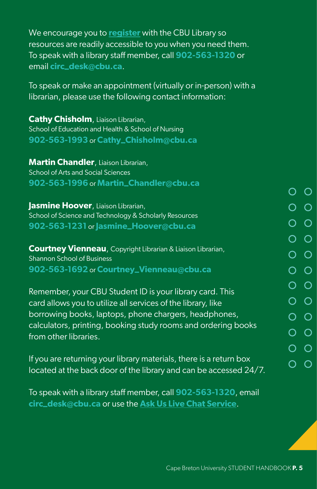We encourage you to **[register](https://libguides.cbu.ca/c.php?g=723588)** with the CBU Library so resources are readily accessible to you when you need them. To speak with a library staff member, call **902-563-1320** or email **circ\_desk@cbu.ca**.

To speak or make an appointment (virtually or in-person) with a librarian, please use the following contact information:

**Cathy Chisholm**, Liaison Librarian, School of Education and Health & School of Nursing **902-563-1993** or **Cathy\_Chisholm@cbu.ca**

**Martin Chandler**, Liaison Librarian, School of Arts and Social Sciences **902-563-1996** or **Martin\_Chandler@cbu.ca**

**Jasmine Hoover**, Liaison Librarian, School of Science and Technology & Scholarly Resources **902-563-1231** or **Jasmine\_Hoover@cbu.ca**

**Courtney Vienneau**, Copyright Librarian & Liaison Librarian, Shannon School of Business **902-563-1692** or **Courtney\_Vienneau@cbu.ca**

Remember, your CBU Student ID is your library card. This card allows you to utilize all services of the library, like borrowing books, laptops, phone chargers, headphones, calculators, printing, booking study rooms and ordering books from other libraries.

If you are returning your library materials, there is a return box located at the back door of the library and can be accessed 24/7.

To speak with a library staff member, call **902-563-1320**, email **circ\_desk@cbu.ca** or use the **Ask Us Live Chat Service**.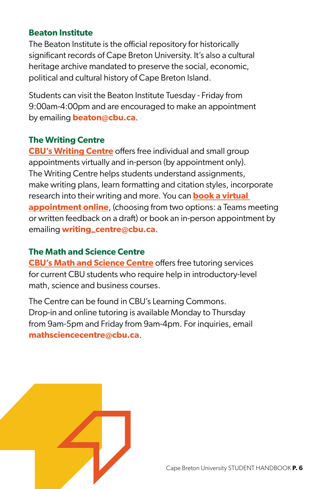#### **Beaton Institute**

The Beaton Institute is the official repository for historically significant records of Cape Breton University. It's also a cultural heritage archive mandated to preserve the social, economic, political and cultural history of Cape Breton Island.

Students can visit the Beaton Institute Tuesday - Friday from 9:00am-4:00pm and are encouraged to make an appointment by emailing **beaton@cbu.ca**.

#### **The Writing Centre**

**[CBU's Writing Centre](https://www.cbu.ca/current-students/student-services/writing-centre/)** offers free individual and small group appointments virtually and in-person (by appointment only). The Writing Centre helps students understand assignments, make writing plans, learn formatting and citation styles, incorporate research into their writing and more. You can **book a [virtual](https://www.cbu.ca/current-students/student-services/writing-centre/)  [appointment](https://www.cbu.ca/current-students/student-services/writing-centre/) online**, (choosing from two options: a Teams meeting or written feedback on a draft) or book an in-person appointment by emailing **writing\_centre@cbu.ca**.

#### **The Math and Science Centre**

**CBU's Math and Science Centre** offers free tutoring services for current CBU students who require help in introductory-level math, science and business courses.

The Centre can be found in CBU's Learning Commons. Drop-in and online tutoring is available Monday to Thursday from 9am-5pm and Friday from 9am-4pm. For inquiries, email **mathsciencecentre@cbu.ca**.

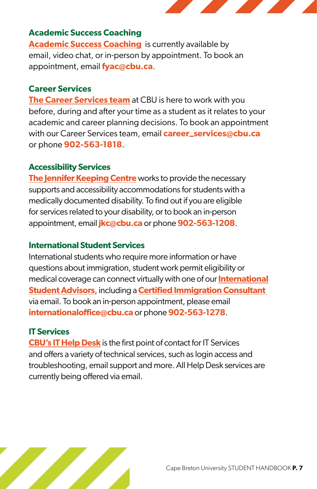

#### **Academic Success Coaching**

**[Academic Success Coaching](https://www.cbu.ca/future-students/student-services/success-coaching/)** is currently available by email, video chat, or in-person by appointment. To book an appointment, email **fyac@cbu.ca**.

#### **Career Services**

**The Career Services team** at CBU is here to work with you before, during and after your time as a student as it relates to your academic and career planning decisions. To book an appointment with our Career Services team, email **career\_services@cbu.ca** or phone **902-563-1818**.

#### **Accessibility Services**

**The Jennifer Keeping Centre** works to provide the necessary supports and accessibility accommodations for students with a medically documented disability. To find out if you are eligible for services related to your disability, or to book an in-person appointment, email **jkc@cbu.ca** or phone **902-563-1208**.

#### **International Student Services**

International students who require more information or have questions about immigration, student work permit eligibility or medical coverage can connect virtually with one of our **International Student Advisors**, including a **Certified Immigration Consultant**  via email. To book an in-person appointment, please email **internationaloffice@cbu.ca** or phone **902-563-1278**.

#### **IT Services**

**CBU's IT Help Desk** is the first point of contact for IT Services and offers a variety of technical services, such as login access and troubleshooting, email support and more. All Help Desk services are currently being offered via email.

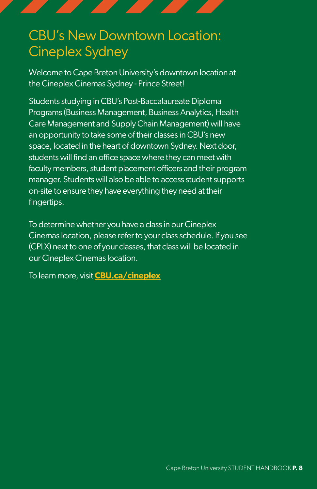# CBU's New Downtown Location: Cineplex Sydney

Welcome to Cape Breton University's downtown location at the Cineplex Cinemas Sydney - Prince Street!

Students studying in CBU's Post-Baccalaureate Diploma Programs (Business Management, Business Analytics, Health Care Management and Supply Chain Management) will have an opportunity to take some of their classes in CBU's new space, located in the heart of downtown Sydney. Next door, students will find an office space where they can meet with faculty members, student placement officers and their program manager. Students will also be able to access student supports on-site to ensure they have everything they need at their fingertips.

To determine whether you have a class in our Cineplex Cinemas location, please refer to your class schedule. If you see (CPLX) next to one of your classes, that class will be located in our Cineplex Cinemas location.

To learn more, visit **[CBU.ca/cineplex](https://www.cbu.ca/cineplex/)**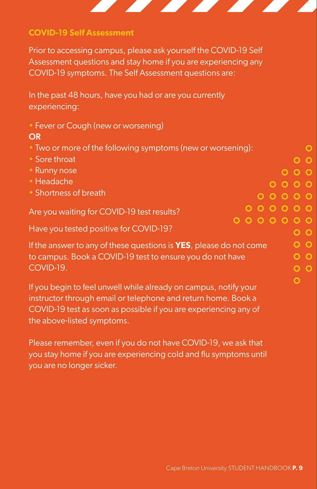

#### **COVID-19 Self Assessment**

Prior to accessing campus, please ask yourself the COVID-19 Self Assessment questions and stay home if you are experiencing any COVID-19 symptoms. The Self Assessment questions are:

In the past 48 hours, have you had or are you currently experiencing:

• Fever or Cough (new or worsening)

#### OR

- Two or more of the following symptoms (new or worsening):
- Sore throat
- Runny nose
- Headache
- Shortness of breath

Are you waiting for COVID-19 test results?

Have you tested positive for COVID-19?

If the answer to any of these questions is **YES**, please do not come to campus. Book a COVID-19 test to ensure you do not have COVID-19.

If you begin to feel unwell while already on campus, notify your instructor through email or telephone and return home. Book a COVID-19 test as soon as possible if you are experiencing any of the above-listed symptoms.

Please remember, even if you do not have COVID-19, we ask that you stay home if you are experiencing cold and flu symptoms until you are no longer sicker.

 $\mathbf O$  $O$   $O$  $000$  $0000$  $00000$  $0000000$  $0000000$ 

> $O$   $O$  $O$   $O$  $0<sub>o</sub>$  $0<sub>o</sub>$  $\overline{O}$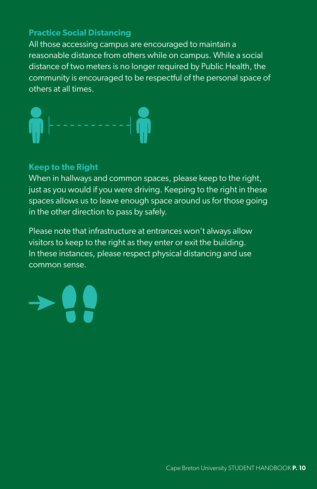#### **Practice Social Distancing**

All those accessing campus are encouraged to maintain a reasonable distance from others while on campus. While a social distance of two meters is no longer required by Public Health, the community is encouraged to be respectful of the personal space of others at all times.



#### **Keep to the Right**

When in hallways and common spaces, please keep to the right, just as you would if you were driving. Keeping to the right in these spaces allows us to leave enough space around us for those going in the other direction to pass by safely.

Please note that infrastructure at entrances won't always allow visitors to keep to the right as they enter or exit the building. In these instances, please respect physical distancing and use common sense.

Cape Breton University STUDENT HANDBOOK **P. 10**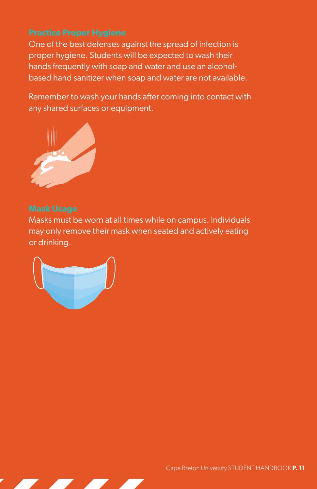One of the best defenses against the spread of infection is proper hygiene. Students will be expected to wash their hands frequently with soap and water and use an alcoholbased hand sanitizer when soap and water are not available.

Remember to wash your hands after coming into contact with any shared surfaces or equipment.



Masks must be worn at all times while on campus. Individuals may only remove their mask when seated and actively eating or drinking.

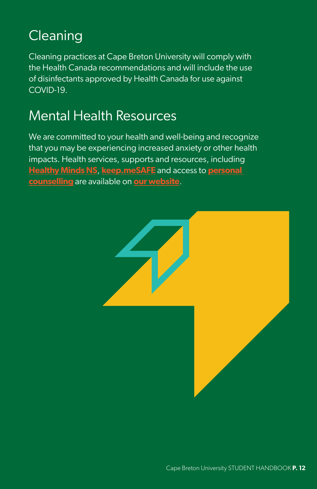# **Cleaning**

Cleaning practices at Cape Breton University will comply with the Health Canada recommendations and will include the use of disinfectants approved by Health Canada for use against COVID-19.

## Mental Health Resources

We are committed to your health and well-being and recognize that you may be experiencing increased anxiety or other health impacts. Health services, supports and resources, including **[Healthy Minds NS](https://healthymindsns.ca/)**, **[keep.meSAFE](https://www.guard.me/cbu/keepmesafe)** and access to **[personal](https://www.cbu.ca/current-students/student-services/health-wellness/personal-counselling/)  [counselling](https://www.cbu.ca/current-students/student-services/health-wellness/personal-counselling/)** are available on **[our website](https://www.cbu.ca/current-students/student-services/health-wellness/mental-health-resources/)**.